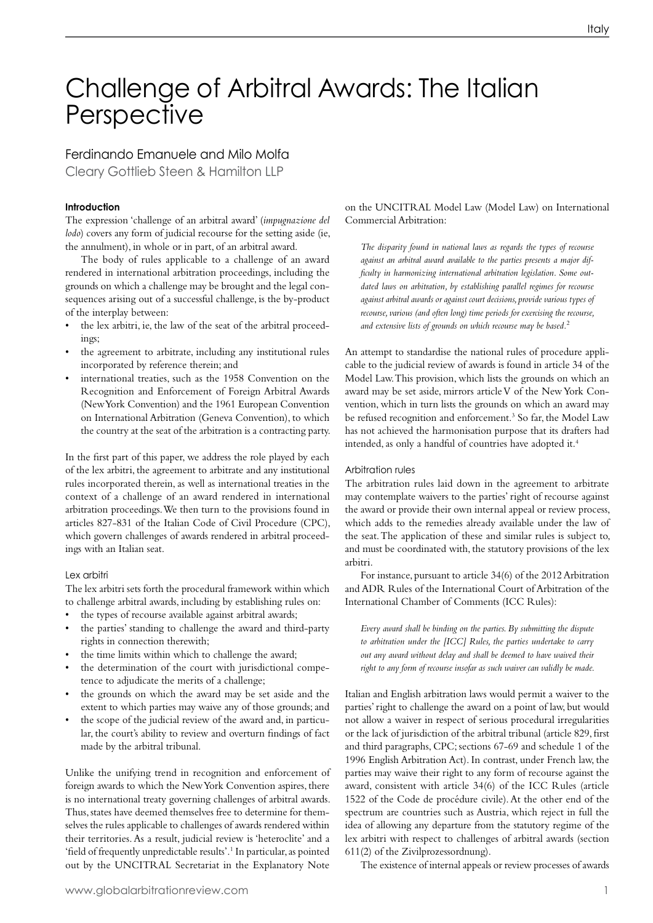# Challenge of Arbitral Awards: The Italian **Perspective**

### Ferdinando Emanuele and Milo Molfa

Cleary Gottlieb Steen & Hamilton LLP

#### **Introduction**

The expression 'challenge of an arbitral award' (*impugnazione del lodo*) covers any form of judicial recourse for the setting aside (ie, the annulment), in whole or in part, of an arbitral award.

The body of rules applicable to a challenge of an award rendered in international arbitration proceedings, including the grounds on which a challenge may be brought and the legal consequences arising out of a successful challenge, is the by-product of the interplay between:

- the lex arbitri, ie, the law of the seat of the arbitral proceedings;
- the agreement to arbitrate, including any institutional rules incorporated by reference therein; and
- international treaties, such as the 1958 Convention on the Recognition and Enforcement of Foreign Arbitral Awards (NewYork Convention) and the 1961 European Convention on International Arbitration (Geneva Convention), to which the country at the seat of the arbitration is a contracting party.

In the first part of this paper, we address the role played by each of the lex arbitri, the agreement to arbitrate and any institutional rules incorporated therein, as well as international treaties in the context of a challenge of an award rendered in international arbitration proceedings. We then turn to the provisions found in articles 827-831 of the Italian Code of Civil Procedure (CPC), which govern challenges of awards rendered in arbitral proceedings with an Italian seat.

#### Lex arbitri

The lex arbitri sets forth the procedural framework within which to challenge arbitral awards, including by establishing rules on:

- the types of recourse available against arbitral awards;
- the parties' standing to challenge the award and third-party rights in connection therewith;
- the time limits within which to challenge the award;
- the determination of the court with jurisdictional competence to adjudicate the merits of a challenge;
- the grounds on which the award may be set aside and the extent to which parties may waive any of those grounds; and
- the scope of the judicial review of the award and, in particular, the court's ability to review and overturn findings of fact made by the arbitral tribunal.

Unlike the unifying trend in recognition and enforcement of foreign awards to which the NewYork Convention aspires, there is no international treaty governing challenges of arbitral awards. Thus, states have deemed themselves free to determine for themselves the rules applicable to challenges of awards rendered within their territories. As a result, judicial review is 'heteroclite' and a 'field of frequently unpredictable results'.<sup>1</sup> In particular, as pointed out by the UNCITRAL Secretariat in the Explanatory Note

#### on the UNCITRAL Model Law (Model Law) on International Commercial Arbitration:

*The disparity found in national laws as regards the types of recourse against an arbitral award available to the parties presents a major difficulty in harmonizing international arbitration legislation. Some outdated laws on arbitration, by establishing parallel regimes for recourse against arbitral awards or against court decisions, provide various types of recourse, various (and often long) time periods for exercising the recourse, and extensive lists of grounds on which recourse may be based.*<sup>2</sup>

An attempt to standardise the national rules of procedure applicable to the judicial review of awards is found in article 34 of the Model Law.This provision, which lists the grounds on which an award may be set aside, mirrors articleV of the NewYork Convention, which in turn lists the grounds on which an award may be refused recognition and enforcement.<sup>3</sup> So far, the Model Law has not achieved the harmonisation purpose that its drafters had intended, as only a handful of countries have adopted it.<sup>4</sup>

#### Arbitration rules

The arbitration rules laid down in the agreement to arbitrate may contemplate waivers to the parties' right of recourse against the award or provide their own internal appeal or review process, which adds to the remedies already available under the law of the seat. The application of these and similar rules is subject to, and must be coordinated with, the statutory provisions of the lex arbitri.

For instance, pursuant to article 34(6) of the 2012 Arbitration and ADR Rules of the International Court of Arbitration of the International Chamber of Comments (ICC Rules):

*Every award shall be binding on the parties. By submitting the dispute to arbitration under the [ICC] Rules, the parties undertake to carry out any award without delay and shall be deemed to have waived their right to any form of recourse insofar as such waiver can validly be made.*

Italian and English arbitration laws would permit a waiver to the parties' right to challenge the award on a point of law, but would not allow a waiver in respect of serious procedural irregularities or the lack of jurisdiction of the arbitral tribunal (article 829, first and third paragraphs, CPC; sections 67-69 and schedule 1 of the 1996 English Arbitration Act). In contrast, under French law, the parties may waive their right to any form of recourse against the award, consistent with article 34(6) of the ICC Rules (article 1522 of the Code de procédure civile).At the other end of the spectrum are countries such as Austria, which reject in full the idea of allowing any departure from the statutory regime of the lex arbitri with respect to challenges of arbitral awards (section 611(2) of the Zivilprozessordnung).

The existence of internal appeals or review processes of awards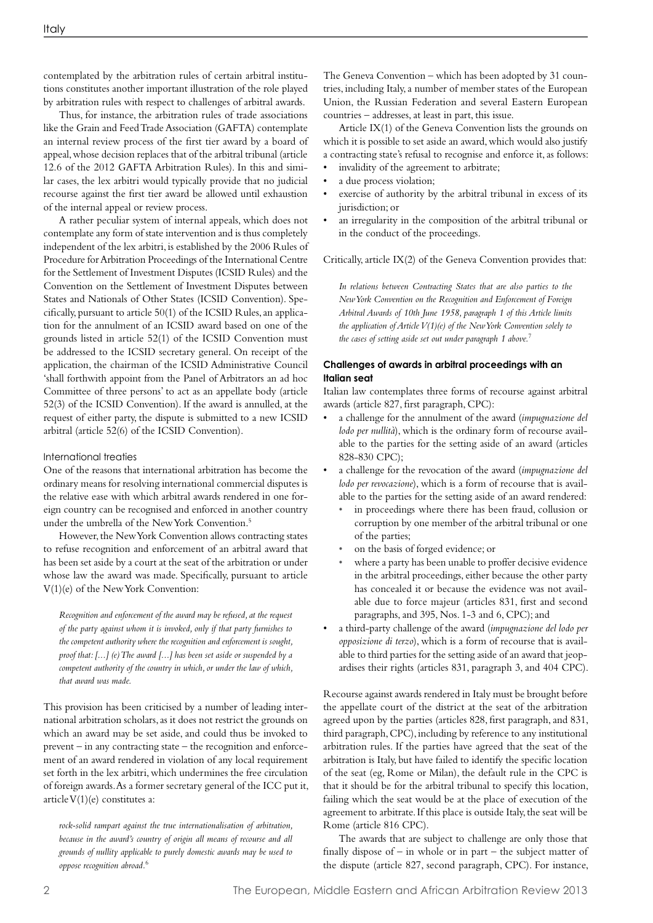contemplated by the arbitration rules of certain arbitral institutions constitutes another important illustration of the role played by arbitration rules with respect to challenges of arbitral awards.

Thus, for instance, the arbitration rules of trade associations like the Grain and Feed Trade Association (GAFTA) contemplate an internal review process of the first tier award by a board of appeal, whose decision replaces that of the arbitral tribunal (article 12.6 of the 2012 GAFTA Arbitration Rules). In this and similar cases, the lex arbitri would typically provide that no judicial recourse against the first tier award be allowed until exhaustion of the internal appeal or review process.

A rather peculiar system of internal appeals, which does not contemplate any form of state intervention and is thus completely independent of the lex arbitri, is established by the 2006 Rules of Procedure forArbitration Proceedings of the International Centre for the Settlement of Investment Disputes (ICSID Rules) and the Convention on the Settlement of Investment Disputes between States and Nationals of Other States (ICSID Convention). Specifically, pursuant to article 50(1) of the ICSID Rules, an application for the annulment of an ICSID award based on one of the grounds listed in article 52(1) of the ICSID Convention must be addressed to the ICSID secretary general. On receipt of the application, the chairman of the ICSID Administrative Council 'shall forthwith appoint from the Panel of Arbitrators an ad hoc Committee of three persons' to act as an appellate body (article 52(3) of the ICSID Convention). If the award is annulled, at the request of either party, the dispute is submitted to a new ICSID arbitral (article 52(6) of the ICSID Convention).

#### International treaties

One of the reasons that international arbitration has become the ordinary means for resolving international commercial disputes is the relative ease with which arbitral awards rendered in one foreign country can be recognised and enforced in another country under the umbrella of the New York Convention.<sup>5</sup>

However, the NewYork Convention allows contracting states to refuse recognition and enforcement of an arbitral award that has been set aside by a court at the seat of the arbitration or under whose law the award was made. Specifically, pursuant to article V(1)(e) of the NewYork Convention:

*Recognition and enforcement of the award may be refused, at the request of the party against whom it is invoked, only if that party furnishes to the competent authority where the recognition and enforcement is sought, proof that: [...] (e) The award [...] has been set aside or suspended by a competent authority of the country in which, or under the law of which, that award was made.*

This provision has been criticised by a number of leading international arbitration scholars, as it does not restrict the grounds on which an award may be set aside, and could thus be invoked to prevent – in any contracting state – the recognition and enforcement of an award rendered in violation of any local requirement set forth in the lex arbitri, which undermines the free circulation of foreign awards.As a former secretary general of the ICC put it, articleV(1)(e) constitutes a:

*rock-solid rampart against the true internationalisation of arbitration, because in the award's country of origin all means of recourse and all grounds of nullity applicable to purely domestic awards may be used to oppose recognition abroad.*<sup>6</sup>

The Geneva Convention – which has been adopted by 31 countries, including Italy, a number of member states of the European Union, the Russian Federation and several Eastern European countries – addresses, at least in part, this issue.

Article IX(1) of the Geneva Convention lists the grounds on which it is possible to set aside an award, which would also justify a contracting state's refusal to recognise and enforce it, as follows:

- invalidity of the agreement to arbitrate;
- a due process violation;
- exercise of authority by the arbitral tribunal in excess of its jurisdiction; or
- an irregularity in the composition of the arbitral tribunal or in the conduct of the proceedings.

Critically, article IX(2) of the Geneva Convention provides that:

*In relations between Contracting States that are also parties to the New York Convention on the Recognition and Enforcement of Foreign Arbitral Awards of 10th June 1958, paragraph 1 of this Article limits the application of Article V(1)(e) of the New York Convention solely to the cases of setting aside set out under paragraph 1 above.*<sup>7</sup>

#### **Challenges of awards in arbitral proceedings with an Italian seat**

Italian law contemplates three forms of recourse against arbitral awards (article 827, first paragraph, CPC):

- a challenge for the annulment of the award *(impugnazione del lodo per nullità*), which is the ordinary form of recourse available to the parties for the setting aside of an award (articles 828-830 CPC);
- a challenge for the revocation of the award (*impugnazione del lodo per revocazione*), which is a form of recourse that is available to the parties for the setting aside of an award rendered:
	- in proceedings where there has been fraud, collusion or corruption by one member of the arbitral tribunal or one of the parties;
	- on the basis of forged evidence; or
- where a party has been unable to proffer decisive evidence in the arbitral proceedings, either because the other party has concealed it or because the evidence was not available due to force majeur (articles 831, first and second paragraphs, and 395, Nos. 1-3 and 6, CPC); and
- a third-party challenge of the award (*impugnazione del lodo per opposizione di terzo*), which is a form of recourse that is available to third parties for the setting aside of an award that jeopardises their rights (articles 831, paragraph 3, and 404 CPC).

Recourse against awards rendered in Italy must be brought before the appellate court of the district at the seat of the arbitration agreed upon by the parties (articles 828, first paragraph, and 831, third paragraph,CPC), including by reference to any institutional arbitration rules. If the parties have agreed that the seat of the arbitration is Italy, but have failed to identify the specific location of the seat (eg, Rome or Milan), the default rule in the CPC is that it should be for the arbitral tribunal to specify this location, failing which the seat would be at the place of execution of the agreement to arbitrate. If this place is outside Italy, the seat will be Rome (article 816 CPC).

The awards that are subject to challenge are only those that finally dispose of  $-$  in whole or in part  $-$  the subject matter of the dispute (article 827, second paragraph, CPC). For instance,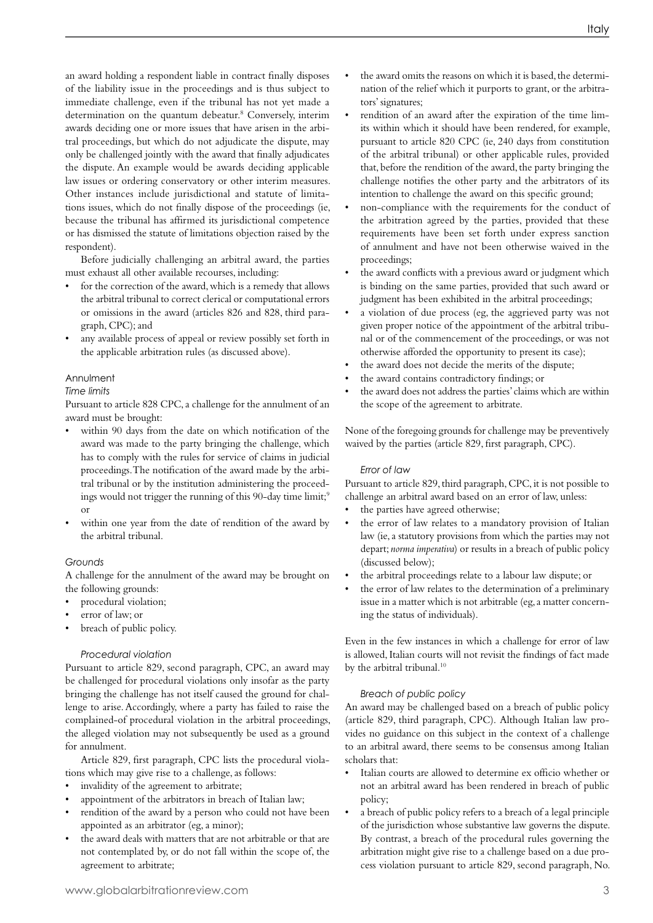an award holding a respondent liable in contract finally disposes of the liability issue in the proceedings and is thus subject to immediate challenge, even if the tribunal has not yet made a determination on the quantum debeatur.<sup>8</sup> Conversely, interim awards deciding one or more issues that have arisen in the arbitral proceedings, but which do not adjudicate the dispute, may only be challenged jointly with the award that finally adjudicates the dispute. An example would be awards deciding applicable law issues or ordering conservatory or other interim measures. Other instances include jurisdictional and statute of limitations issues, which do not finally dispose of the proceedings (ie, because the tribunal has affirmed its jurisdictional competence or has dismissed the statute of limitations objection raised by the respondent).

Before judicially challenging an arbitral award, the parties must exhaust all other available recourses, including:

- for the correction of the award, which is a remedy that allows the arbitral tribunal to correct clerical or computational errors or omissions in the award (articles 826 and 828, third paragraph, CPC);and
- any available process of appeal or review possibly set forth in the applicable arbitration rules (as discussed above).

#### Annulment

#### *Time limits*

Pursuant to article 828 CPC, a challenge for the annulment of an award must be brought:

- within 90 days from the date on which notification of the award was made to the party bringing the challenge, which has to comply with the rules for service of claims in judicial proceedings. The notification of the award made by the arbitral tribunal or by the institution administering the proceedings would not trigger the running of this 90-day time limit;<sup>9</sup> or
- within one year from the date of rendition of the award by the arbitral tribunal.

#### *Grounds*

A challenge for the annulment of the award may be brought on the following grounds:

- procedural violation;
- error of law; or
- breach of public policy.

#### *Procedural violation*

Pursuant to article 829, second paragraph, CPC, an award may be challenged for procedural violations only insofar as the party bringing the challenge has not itself caused the ground for challenge to arise. Accordingly, where a party has failed to raise the complained-of procedural violation in the arbitral proceedings, the alleged violation may not subsequently be used as a ground for annulment.

Article 829, first paragraph, CPC lists the procedural violations which may give rise to a challenge, as follows:

- invalidity of the agreement to arbitrate;
- appointment of the arbitrators in breach of Italian law;
- rendition of the award by a person who could not have been appointed as an arbitrator (eg, a minor);
- the award deals with matters that are not arbitrable or that are not contemplated by, or do not fall within the scope of, the agreement to arbitrate;
- the award omits the reasons on which it is based, the determination of the relief which it purports to grant, or the arbitrators' signatures;
- rendition of an award after the expiration of the time limits within which it should have been rendered, for example, pursuant to article 820 CPC (ie, 240 days from constitution of the arbitral tribunal) or other applicable rules, provided that, before the rendition of the award, the party bringing the challenge notifies the other party and the arbitrators of its intention to challenge the award on this specific ground;
- non-compliance with the requirements for the conduct of the arbitration agreed by the parties, provided that these requirements have been set forth under express sanction of annulment and have not been otherwise waived in the proceedings;
- the award conflicts with a previous award or judgment which is binding on the same parties, provided that such award or judgment has been exhibited in the arbitral proceedings;
- a violation of due process (eg, the aggrieved party was not given proper notice of the appointment of the arbitral tribunal or of the commencement of the proceedings, or was not otherwise afforded the opportunity to present its case);
- the award does not decide the merits of the dispute;
- the award contains contradictory findings; or
- the award does not address the parties' claims which are within the scope of the agreement to arbitrate.

None of the foregoing grounds for challenge may be preventively waived by the parties (article 829, first paragraph, CPC).

#### *Error of law*

Pursuant to article 829, third paragraph, CPC, it is not possible to challenge an arbitral award based on an error of law, unless:

- the parties have agreed otherwise;
- the error of law relates to a mandatory provision of Italian law (ie, a statutory provisions from which the parties may not depart; *norma imperativa*) or results in a breach of public policy (discussed below);
- the arbitral proceedings relate to a labour law dispute; or
- the error of law relates to the determination of a preliminary issue in a matter which is not arbitrable (eg, a matter concerning the status of individuals).

Even in the few instances in which a challenge for error of law is allowed, Italian courts will not revisit the findings of fact made by the arbitral tribunal.<sup>10</sup>

#### *Breach of public policy*

An award may be challenged based on a breach of public policy (article 829, third paragraph, CPC). Although Italian law provides no guidance on this subject in the context of a challenge to an arbitral award, there seems to be consensus among Italian scholars that:

- Italian courts are allowed to determine ex officio whether or not an arbitral award has been rendered in breach of public policy;
- a breach of public policy refers to a breach of a legal principle of the jurisdiction whose substantive law governs the dispute. By contrast, a breach of the procedural rules governing the arbitration might give rise to a challenge based on a due process violation pursuant to article 829, second paragraph, No.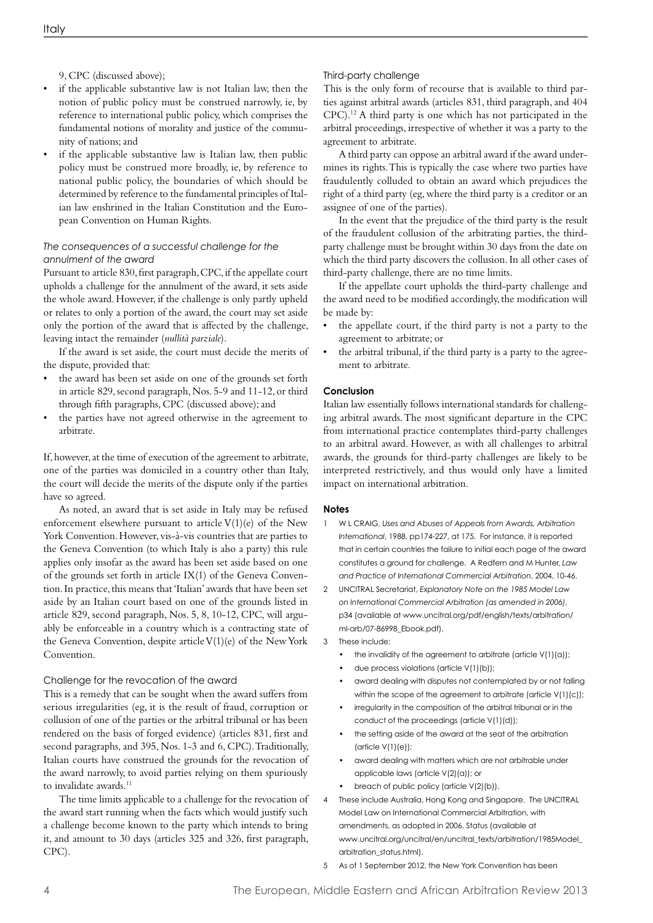9, CPC (discussed above);

- if the applicable substantive law is not Italian law, then the notion of public policy must be construed narrowly, ie, by reference to international public policy, which comprises the fundamental notions of morality and justice of the community of nations; and
- if the applicable substantive law is Italian law, then public policy must be construed more broadly, ie, by reference to national public policy, the boundaries of which should be determined by reference to the fundamental principles of Italian law enshrined in the Italian Constitution and the European Convention on Human Rights.

#### *The consequences of a successful challenge for the annulment of the award*

Pursuant to article 830, first paragraph, CPC, if the appellate court upholds a challenge for the annulment of the award, it sets aside the whole award. However, if the challenge is only partly upheld or relates to only a portion of the award, the court may set aside only the portion of the award that is affected by the challenge, leaving intact the remainder (*nullità parziale*).

If the award is set aside, the court must decide the merits of the dispute, provided that:

- the award has been set aside on one of the grounds set forth in article 829, second paragraph, Nos. 5-9 and 11-12, or third through fifth paragraphs, CPC (discussed above); and
- the parties have not agreed otherwise in the agreement to arbitrate.

If, however, at the time of execution of the agreement to arbitrate, one of the parties was domiciled in a country other than Italy, the court will decide the merits of the dispute only if the parties have so agreed.

As noted, an award that is set aside in Italy may be refused enforcement elsewhere pursuant to article V(1)(e) of the New York Convention.However, vis-à-vis countries that are parties to the Geneva Convention (to which Italy is also a party) this rule applies only insofar as the award has been set aside based on one of the grounds set forth in article IX(1) of the Geneva Convention. In practice, this means that 'Italian' awards that have been set aside by an Italian court based on one of the grounds listed in article 829, second paragraph, Nos. 5, 8, 10-12, CPC, will arguably be enforceable in a country which is a contracting state of the Geneva Convention, despite article  $V(1)(e)$  of the New York Convention.

#### Challenge for the revocation of the award

This is a remedy that can be sought when the award suffers from serious irregularities (eg, it is the result of fraud, corruption or collusion of one of the parties or the arbitral tribunal or has been rendered on the basis of forged evidence) (articles 831, first and second paragraphs, and 395, Nos. 1-3 and 6, CPC). Traditionally, Italian courts have construed the grounds for the revocation of the award narrowly, to avoid parties relying on them spuriously to invalidate awards.<sup>11</sup>

The time limits applicable to a challenge for the revocation of the award start running when the facts which would justify such a challenge become known to the party which intends to bring it, and amount to 30 days (articles 325 and 326, first paragraph, CPC).

#### Third-party challenge

This is the only form of recourse that is available to third parties against arbitral awards (articles 831, third paragraph, and 404 CPC).12 A third party is one which has not participated in the arbitral proceedings, irrespective of whether it was a party to the agreement to arbitrate.

A third party can oppose an arbitral award if the award undermines its rights. This is typically the case where two parties have fraudulently colluded to obtain an award which prejudices the right of a third party (eg, where the third party is a creditor or an assignee of one of the parties).

In the event that the prejudice of the third party is the result of the fraudulent collusion of the arbitrating parties, the thirdparty challenge must be brought within 30 days from the date on which the third party discovers the collusion. In all other cases of third-party challenge, there are no time limits.

If the appellate court upholds the third-party challenge and the award need to be modified accordingly, the modification will be made by:

- the appellate court, if the third party is not a party to the agreement to arbitrate; or
- the arbitral tribunal, if the third party is a party to the agreement to arbitrate.

#### **Conclusion**

Italian law essentially follows international standards for challenging arbitral awards.The most significant departure in the CPC from international practice contemplates third-party challenges to an arbitral award. However, as with all challenges to arbitral awards, the grounds for third-party challenges are likely to be interpreted restrictively, and thus would only have a limited impact on international arbitration.

#### **Notes**

- 1 W L CRAIG, *Uses and Abuses of Appeals from Awards, Arbitration International*, 1988, pp174-227, at 175. For instance, it is reported that in certain countries the failure to initial each page of the award constitutes a ground for challenge. A Redfern and M Hunter, *Law and Practice of International Commercial Arbitration*, 2004, 10-46.
- 2 UNCITRAL Secretariat, *Explanatory Note on the 1985 Model Law on International Commercial Arbitration (as amended in 2006)*, p34 (available at www.uncitral.org/pdf/english/texts/arbitration/ ml-arb/07-86998\_Ebook.pdf).
- 3 These include:
	- the invalidity of the agreement to arbitrate (article  $V(1)(a)$ );
	- due process violations (article V(1)(b));
	- award dealing with disputes not contemplated by or not falling within the scope of the agreement to arbitrate (article V(1)(c));
	- irregularity in the composition of the arbitral tribunal or in the conduct of the proceedings (article V(1)(d));
	- the setting aside of the award at the seat of the arbitration (article V(1)(e));
	- award dealing with matters which are not arbitrable under applicable laws (article V(2)(a)); or
	- breach of public policy (article  $V(2)(b)$ ).
- 4 These include Australia, Hong Kong and Singapore. The UNCITRAL Model Law on International Commercial Arbitration, with amendments, as adopted in 2006, Status (available at www.uncitral.org/uncitral/en/uncitral\_texts/arbitration/1985Model\_ arbitration\_status.html).
- 5 As of 1 September 2012, the New York Convention has been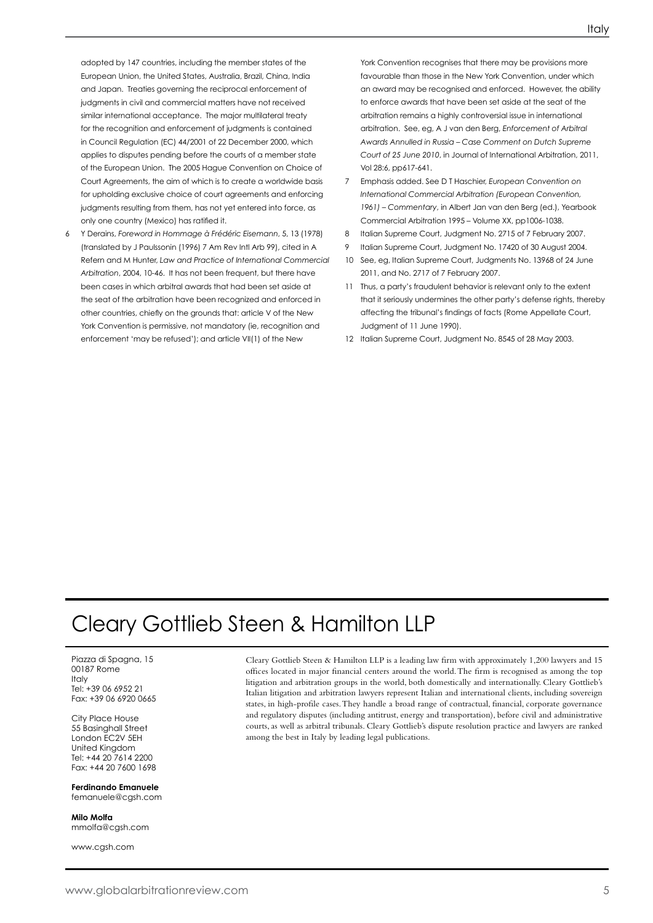adopted by 147 countries, including the member states of the European Union, the United States, Australia, Brazil, China, India and Japan. Treaties governing the reciprocal enforcement of judgments in civil and commercial matters have not received similar international acceptance. The major multilateral treaty for the recognition and enforcement of judgments is contained in Council Regulation (EC) 44/2001 of 22 December 2000, which applies to disputes pending before the courts of a member state of the European Union. The 2005 Hague Convention on Choice of Court Agreements, the aim of which is to create a worldwide basis for upholding exclusive choice of court agreements and enforcing judgments resulting from them, has not yet entered into force, as only one country (Mexico) has ratified it.

6 Y Derains, *Foreword in Hommage à Frédéric Eisemann*, 5, 13 (1978) (translated by J Paulssonin (1996) 7 Am Rev Intl Arb 99), cited in A Refern and M Hunter, *Law and Practice of International Commercial Arbitration*, 2004, 10-46. It has not been frequent, but there have been cases in which arbitral awards that had been set aside at the seat of the arbitration have been recognized and enforced in other countries, chiefly on the grounds that: article V of the New York Convention is permissive, not mandatory (ie, recognition and enforcement 'may be refused'); and article VII(1) of the New

York Convention recognises that there may be provisions more favourable than those in the New York Convention, under which an award may be recognised and enforced. However, the ability to enforce awards that have been set aside at the seat of the arbitration remains a highly controversial issue in international arbitration. See, eg, A J van den Berg, *Enforcement of Arbitral Awards Annulled in Russia – Case Comment on Dutch Supreme Court of 25 June 2010*, in Journal of International Arbitration, 2011, Vol 28:6, pp617-641.

- 7 Emphasis added. See D T Haschier, *European Convention on International Commercial Arbitration (European Convention, 1961) – Commentary*, in Albert Jan van den Berg (ed.), Yearbook Commercial Arbitration 1995 – Volume XX, pp1006-1038.
- 8 Italian Supreme Court, Judgment No. 2715 of 7 February 2007.
- 9 Italian Supreme Court, Judgment No. 17420 of 30 August 2004.
- 10 See, eg, Italian Supreme Court, Judgments No. 13968 of 24 June 2011, and No. 2717 of 7 February 2007.
- 11 Thus, a party's fraudulent behavior is relevant only to the extent that it seriously undermines the other party's defense rights, thereby affecting the tribunal's findings of facts (Rome Appellate Court, Judgment of 11 June 1990).
- 12 Italian Supreme Court, Judgment No. 8545 of 28 May 2003.

## Cleary Gottlieb Steen & Hamilton LLP

Piazza di Spagna, 15 00187 Rome Italy Tel: +39 06 6952 21 Fax: +39 06 6920 0665

City Place House 55 Basinghall Street London EC2V 5EH United Kingdom Tel: +44 20 7614 2200 Fax: +44 20 7600 1698

#### **Ferdinando Emanuele** femanuele@cgsh.com

**Milo Molfa** mmolfa@cgsh.com

www.cgsh.com

Cleary Gottlieb Steen & Hamilton LLP is a leading law firm with approximately 1,200 lawyers and 15 offices located in major financial centers around the world. The firm is recognised as among the top litigation and arbitration groups in the world, both domestically and internationally. Cleary Gottlieb's Italian litigation and arbitration lawyers represent Italian and international clients, including sovereign states, in high-profile cases. They handle a broad range of contractual, financial, corporate governance and regulatory disputes (including antitrust, energy and transportation), before civil and administrative courts,as well as arbitral tribunals. Cleary Gottlieb's dispute resolution practice and lawyers are ranked among the best in Italy by leading legal publications.